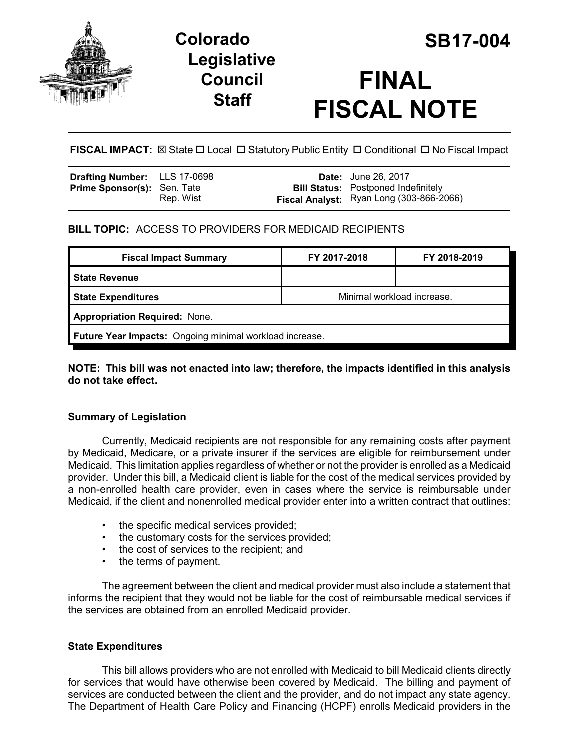

## **Legislative Council Staff**



# **FINAL FISCAL NOTE**

**FISCAL IMPACT:**  $\boxtimes$  State  $\Box$  Local  $\Box$  Statutory Public Entity  $\Box$  Conditional  $\Box$  No Fiscal Impact

| <b>Drafting Number:</b> LLS 17-0698 |           | <b>Date:</b> June 26, 2017                                                             |
|-------------------------------------|-----------|----------------------------------------------------------------------------------------|
| <b>Prime Sponsor(s): Sen. Tate</b>  | Rep. Wist | <b>Bill Status:</b> Postponed Indefinitely<br>Fiscal Analyst: Ryan Long (303-866-2066) |
|                                     |           |                                                                                        |

## **BILL TOPIC:** ACCESS TO PROVIDERS FOR MEDICAID RECIPIENTS

| <b>Fiscal Impact Summary</b>                            | FY 2017-2018               | FY 2018-2019 |  |  |  |
|---------------------------------------------------------|----------------------------|--------------|--|--|--|
| <b>State Revenue</b>                                    |                            |              |  |  |  |
| <b>State Expenditures</b>                               | Minimal workload increase. |              |  |  |  |
| <b>Appropriation Required: None.</b>                    |                            |              |  |  |  |
| Future Year Impacts: Ongoing minimal workload increase. |                            |              |  |  |  |

#### **NOTE: This bill was not enacted into law; therefore, the impacts identified in this analysis do not take effect.**

## **Summary of Legislation**

Currently, Medicaid recipients are not responsible for any remaining costs after payment by Medicaid, Medicare, or a private insurer if the services are eligible for reimbursement under Medicaid. This limitation applies regardless of whether or not the provider is enrolled as a Medicaid provider. Under this bill, a Medicaid client is liable for the cost of the medical services provided by a non-enrolled health care provider, even in cases where the service is reimbursable under Medicaid, if the client and nonenrolled medical provider enter into a written contract that outlines:

- the specific medical services provided;
- the customary costs for the services provided;
- the cost of services to the recipient; and
- the terms of payment.

The agreement between the client and medical provider must also include a statement that informs the recipient that they would not be liable for the cost of reimbursable medical services if the services are obtained from an enrolled Medicaid provider.

#### **State Expenditures**

This bill allows providers who are not enrolled with Medicaid to bill Medicaid clients directly for services that would have otherwise been covered by Medicaid. The billing and payment of services are conducted between the client and the provider, and do not impact any state agency. The Department of Health Care Policy and Financing (HCPF) enrolls Medicaid providers in the